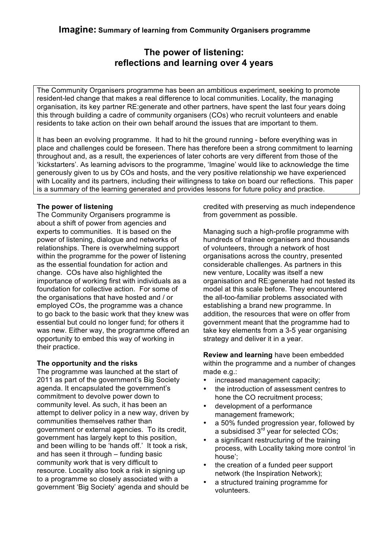# **The power of listening: reflections and learning over 4 years**

The Community Organisers programme has been an ambitious experiment, seeking to promote resident-led change that makes a real difference to local communities. Locality, the managing organisation, its key partner RE:generate and other partners, have spent the last four years doing this through building a cadre of community organisers (COs) who recruit volunteers and enable residents to take action on their own behalf around the issues that are important to them.

It has been an evolving programme. It had to hit the ground running - before everything was in place and challenges could be foreseen. There has therefore been a strong commitment to learning throughout and, as a result, the experiences of later cohorts are very different from those of the 'kickstarters'. As learning advisors to the programme, 'Imagine' would like to acknowledge the time generously given to us by COs and hosts, and the very positive relationship we have experienced with Locality and its partners, including their willingness to take on board our reflections. This paper is a summary of the learning generated and provides lessons for future policy and practice.

## **The power of listening**

The Community Organisers programme is about a shift of power from agencies and experts to communities. It is based on the power of listening, dialogue and networks of relationships. There is overwhelming support within the programme for the power of listening as the essential foundation for action and change. COs have also highlighted the importance of working first with individuals as a foundation for collective action. For some of the organisations that have hosted and / or employed COs, the programme was a chance to go back to the basic work that they knew was essential but could no longer fund; for others it was new. Either way, the programme offered an opportunity to embed this way of working in their practice.

## **The opportunity and the risks**

The programme was launched at the start of 2011 as part of the government's Big Society agenda. It encapsulated the government's commitment to devolve power down to community level. As such, it has been an attempt to deliver policy in a new way, driven by communities themselves rather than government or external agencies. To its credit, government has largely kept to this position, and been willing to be 'hands off.' It took a risk, and has seen it through – funding basic community work that is very difficult to resource. Locality also took a risk in signing up to a programme so closely associated with a government 'Big Society' agenda and should be credited with preserving as much independence from government as possible.

Managing such a high-profile programme with hundreds of trainee organisers and thousands of volunteers, through a network of host organisations across the country, presented considerable challenges. As partners in this new venture, Locality was itself a new organisation and RE:generate had not tested its model at this scale before. They encountered the all-too-familiar problems associated with establishing a brand new programme. In addition, the resources that were on offer from government meant that the programme had to take key elements from a 3-5 year organising strategy and deliver it in a year.

**Review and learning** have been embedded within the programme and a number of changes made e.g.:

- increased management capacity;
- the introduction of assessment centres to hone the CO recruitment process;
- development of a performance management framework;
- a 50% funded progression year, followed by a subsidised 3<sup>rd</sup> year for selected COs;
- a significant restructuring of the training process, with Locality taking more control 'in house';
- the creation of a funded peer support network (the Inspiration Network);
- a structured training programme for volunteers.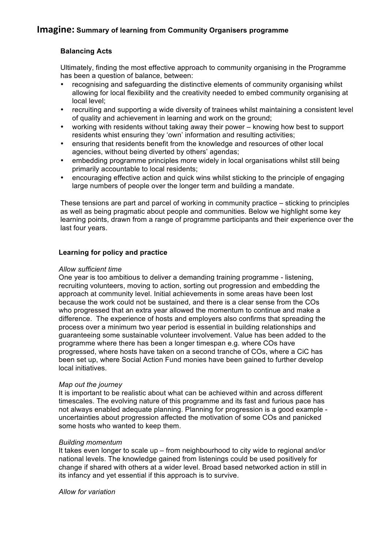## **Balancing Acts**

Ultimately, finding the most effective approach to community organising in the Programme has been a question of balance, between:

- recognising and safeguarding the distinctive elements of community organising whilst allowing for local flexibility and the creativity needed to embed community organising at local level;
- recruiting and supporting a wide diversity of trainees whilst maintaining a consistent level of quality and achievement in learning and work on the ground;
- working with residents without taking away their power knowing how best to support residents whist ensuring they 'own' information and resulting activities;
- ensuring that residents benefit from the knowledge and resources of other local agencies, without being diverted by others' agendas;
- embedding programme principles more widely in local organisations whilst still being primarily accountable to local residents;
- encouraging effective action and quick wins whilst sticking to the principle of engaging large numbers of people over the longer term and building a mandate.

These tensions are part and parcel of working in community practice – sticking to principles as well as being pragmatic about people and communities. Below we highlight some key learning points, drawn from a range of programme participants and their experience over the last four years.

## **Learning for policy and practice**

#### *Allow sufficient time*

One year is too ambitious to deliver a demanding training programme - listening, recruiting volunteers, moving to action, sorting out progression and embedding the approach at community level. Initial achievements in some areas have been lost because the work could not be sustained, and there is a clear sense from the COs who progressed that an extra year allowed the momentum to continue and make a difference. The experience of hosts and employers also confirms that spreading the process over a minimum two year period is essential in building relationships and guaranteeing some sustainable volunteer involvement. Value has been added to the programme where there has been a longer timespan e.g. where COs have progressed, where hosts have taken on a second tranche of COs, where a CiC has been set up, where Social Action Fund monies have been gained to further develop local initiatives.

## *Map out the journey*

It is important to be realistic about what can be achieved within and across different timescales. The evolving nature of this programme and its fast and furious pace has not always enabled adequate planning. Planning for progression is a good example uncertainties about progression affected the motivation of some COs and panicked some hosts who wanted to keep them.

## *Building momentum*

It takes even longer to scale up – from neighbourhood to city wide to regional and/or national levels. The knowledge gained from listenings could be used positively for change if shared with others at a wider level. Broad based networked action in still in its infancy and yet essential if this approach is to survive.

*Allow for variation*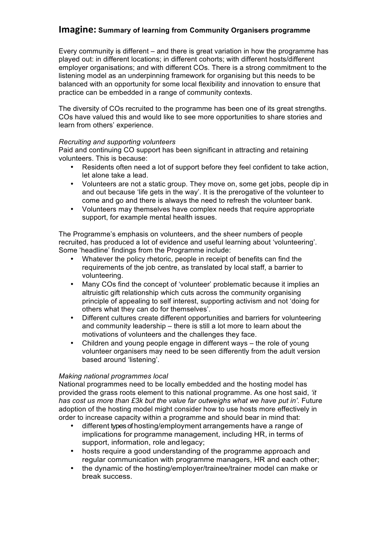Every community is different – and there is great variation in how the programme has played out: in different locations; in different cohorts; with different hosts/different employer organisations; and with different COs. There is a strong commitment to the listening model as an underpinning framework for organising but this needs to be balanced with an opportunity for some local flexibility and innovation to ensure that practice can be embedded in a range of community contexts.

The diversity of COs recruited to the programme has been one of its great strengths. COs have valued this and would like to see more opportunities to share stories and learn from others' experience.

#### *Recruiting and supporting volunteers*

Paid and continuing CO support has been significant in attracting and retaining volunteers. This is because:

- Residents often need a lot of support before they feel confident to take action, let alone take a lead.
- Volunteers are not a static group. They move on, some get jobs, people dip in and out because 'life gets in the way'. It is the prerogative of the volunteer to come and go and there is always the need to refresh the volunteer bank.
- Volunteers may themselves have complex needs that require appropriate support, for example mental health issues.

The Programme's emphasis on volunteers, and the sheer numbers of people recruited, has produced a lot of evidence and useful learning about 'volunteering'. Some 'headline' findings from the Programme include:

- Whatever the policy rhetoric, people in receipt of benefits can find the requirements of the job centre, as translated by local staff, a barrier to volunteering.
- Many COs find the concept of 'volunteer' problematic because it implies an altruistic gift relationship which cuts across the community organising principle of appealing to self interest, supporting activism and not 'doing for others what they can do for themselves'.
- Different cultures create different opportunities and barriers for volunteering and community leadership – there is still a lot more to learn about the motivations of volunteers and the challenges they face.
- Children and young people engage in different ways the role of young volunteer organisers may need to be seen differently from the adult version based around 'listening'.

## *Making national programmes local*

National programmes need to be locally embedded and the hosting model has provided the grass roots element to this national programme. As one host said, *'it has cost us more than £3k but the value far outweighs what we have put in'.* Future adoption of the hosting model might consider how to use hosts more effectively in order to increase capacity within a programme and should bear in mind that:

- different types of hosting/employment arrangements have a range of implications for programme management, including HR, in terms of support, information, role and legacy;
- hosts require a good understanding of the programme approach and regular communication with programme managers, HR and each other;
- the dynamic of the hosting/employer/trainee/trainer model can make or break success.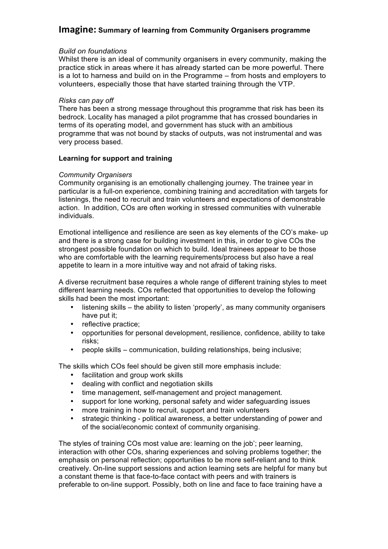#### *Build on foundations*

Whilst there is an ideal of community organisers in every community, making the practice stick in areas where it has already started can be more powerful. There is a lot to harness and build on in the Programme – from hosts and employers to volunteers, especially those that have started training through the VTP.

#### *Risks can pay off*

There has been a strong message throughout this programme that risk has been its bedrock. Locality has managed a pilot programme that has crossed boundaries in terms of its operating model, and government has stuck with an ambitious programme that was not bound by stacks of outputs, was not instrumental and was very process based.

#### **Learning for support and training**

#### *Community Organisers*

Community organising is an emotionally challenging journey. The trainee year in particular is a full-on experience, combining training and accreditation with targets for listenings, the need to recruit and train volunteers and expectations of demonstrable action. In addition, COs are often working in stressed communities with vulnerable individuals.

Emotional intelligence and resilience are seen as key elements of the CO's make- up and there is a strong case for building investment in this, in order to give COs the strongest possible foundation on which to build. Ideal trainees appear to be those who are comfortable with the learning requirements/process but also have a real appetite to learn in a more intuitive way and not afraid of taking risks.

A diverse recruitment base requires a whole range of different training styles to meet different learning needs. COs reflected that opportunities to develop the following skills had been the most important:

- listening skills the ability to listen 'properly', as many community organisers have put it;
- reflective practice;
- opportunities for personal development, resilience, confidence, ability to take risks;
- people skills communication, building relationships, being inclusive;

The skills which COs feel should be given still more emphasis include:

- facilitation and group work skills
- dealing with conflict and negotiation skills
- time management, self-management and project management.
- support for lone working, personal safety and wider safeguarding issues
- more training in how to recruit, support and train volunteers
- strategic thinking political awareness, a better understanding of power and of the social/economic context of community organising.

The styles of training COs most value are: learning on the job'; peer learning, interaction with other COs, sharing experiences and solving problems together; the emphasis on personal reflection; opportunities to be more self-reliant and to think creatively. On-line support sessions and action learning sets are helpful for many but a constant theme is that face-to-face contact with peers and with trainers is preferable to on-line support. Possibly, both on line and face to face training have a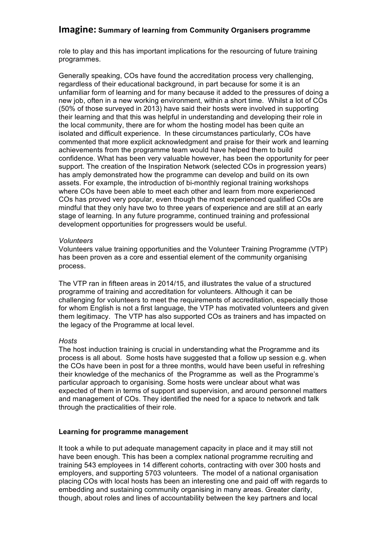role to play and this has important implications for the resourcing of future training programmes.

Generally speaking, COs have found the accreditation process very challenging, regardless of their educational background, in part because for some it is an unfamiliar form of learning and for many because it added to the pressures of doing a new job, often in a new working environment, within a short time. Whilst a lot of COs (50% of those surveyed in 2013) have said their hosts were involved in supporting their learning and that this was helpful in understanding and developing their role in the local community, there are for whom the hosting model has been quite an isolated and difficult experience. In these circumstances particularly, COs have commented that more explicit acknowledgment and praise for their work and learning achievements from the programme team would have helped them to build confidence. What has been very valuable however, has been the opportunity for peer support. The creation of the Inspiration Network (selected COs in progression years) has amply demonstrated how the programme can develop and build on its own assets. For example, the introduction of bi-monthly regional training workshops where COs have been able to meet each other and learn from more experienced COs has proved very popular, even though the most experienced qualified COs are mindful that they only have two to three years of experience and are still at an early stage of learning. In any future programme, continued training and professional development opportunities for progressers would be useful.

#### *Volunteers*

Volunteers value training opportunities and the Volunteer Training Programme (VTP) has been proven as a core and essential element of the community organising process.

The VTP ran in fifteen areas in 2014/15, and illustrates the value of a structured programme of training and accreditation for volunteers. Although it can be challenging for volunteers to meet the requirements of accreditation, especially those for whom English is not a first language, the VTP has motivated volunteers and given them legitimacy. The VTP has also supported COs as trainers and has impacted on the legacy of the Programme at local level.

## *Hosts*

The host induction training is crucial in understanding what the Programme and its process is all about. Some hosts have suggested that a follow up session e.g. when the COs have been in post for a three months, would have been useful in refreshing their knowledge of the mechanics of the Programme as well as the Programme's particular approach to organising. Some hosts were unclear about what was expected of them in terms of support and supervision, and around personnel matters and management of COs. They identified the need for a space to network and talk through the practicalities of their role.

## **Learning for programme management**

It took a while to put adequate management capacity in place and it may still not have been enough. This has been a complex national programme recruiting and training 543 employees in 14 different cohorts, contracting with over 300 hosts and employers, and supporting 5703 volunteers. The model of a national organisation placing COs with local hosts has been an interesting one and paid off with regards to embedding and sustaining community organising in many areas. Greater clarity, though, about roles and lines of accountability between the key partners and local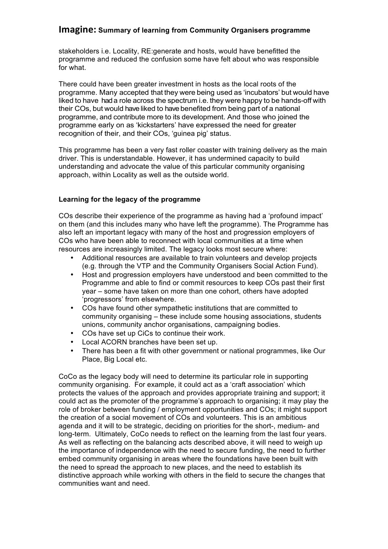stakeholders i.e. Locality, RE:generate and hosts, would have benefitted the programme and reduced the confusion some have felt about who was responsible for what.

There could have been greater investment in hosts as the local roots of the programme. Many accepted that they were being used as 'incubators' but would have liked to have had a role across the spectrum i.e. they were happy to be hands-off with their COs, but would have liked to have benefited from being part of a national programme, and contribute more to its development. And those who joined the programme early on as 'kickstarters' have expressed the need for greater recognition of their, and their COs, 'guinea pig' status.

This programme has been a very fast roller coaster with training delivery as the main driver. This is understandable. However, it has undermined capacity to build understanding and advocate the value of this particular community organising approach, within Locality as well as the outside world.

## **Learning for the legacy of the programme**

COs describe their experience of the programme as having had a 'profound impact' on them (and this includes many who have left the programme). The Programme has also left an important legacy with many of the host and progression employers of COs who have been able to reconnect with local communities at a time when resources are increasingly limited. The legacy looks most secure where:

- Additional resources are available to train volunteers and develop projects (e.g. through the VTP and the Community Organisers Social Action Fund).
- Host and progression employers have understood and been committed to the Programme and able to find or commit resources to keep COs past their first year – some have taken on more than one cohort, others have adopted 'progressors' from elsewhere.
- COs have found other sympathetic institutions that are committed to community organising – these include some housing associations, students unions, community anchor organisations, campaigning bodies.
- COs have set up CiCs to continue their work.
- Local ACORN branches have been set up.
- There has been a fit with other government or national programmes, like Our Place, Big Local etc.

CoCo as the legacy body will need to determine its particular role in supporting community organising. For example, it could act as a 'craft association' which protects the values of the approach and provides appropriate training and support; it could act as the promoter of the programme's approach to organising; it may play the role of broker between funding / employment opportunities and COs; it might support the creation of a social movement of COs and volunteers. This is an ambitious agenda and it will to be strategic, deciding on priorities for the short-, medium- and long-term. Ultimately, CoCo needs to reflect on the learning from the last four years. As well as reflecting on the balancing acts described above, it will need to weigh up the importance of independence with the need to secure funding, the need to further embed community organising in areas where the foundations have been built with the need to spread the approach to new places, and the need to establish its distinctive approach while working with others in the field to secure the changes that communities want and need.